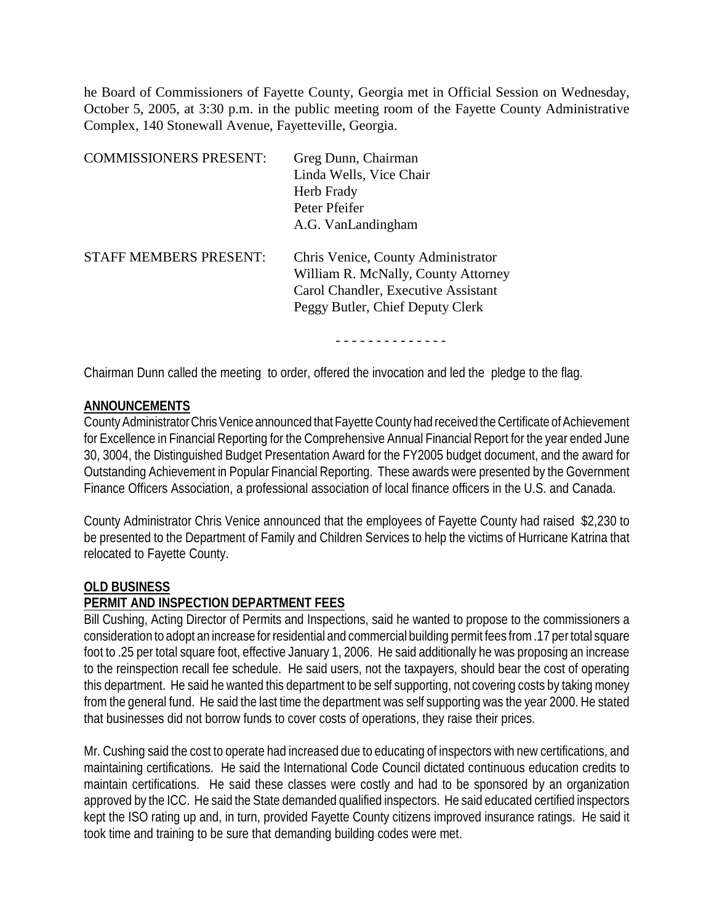he Board of Commissioners of Fayette County, Georgia met in Official Session on Wednesday, October 5, 2005, at 3:30 p.m. in the public meeting room of the Fayette County Administrative Complex, 140 Stonewall Avenue, Fayetteville, Georgia.

| <b>COMMISSIONERS PRESENT:</b> | Greg Dunn, Chairman<br>Linda Wells, Vice Chair<br>Herb Frady<br>Peter Pfeifer<br>A.G. VanLandingham                                                  |
|-------------------------------|------------------------------------------------------------------------------------------------------------------------------------------------------|
| <b>STAFF MEMBERS PRESENT:</b> | Chris Venice, County Administrator<br>William R. McNally, County Attorney<br>Carol Chandler, Executive Assistant<br>Peggy Butler, Chief Deputy Clerk |

- - - - - - - - - - - - - -

Chairman Dunn called the meeting to order, offered the invocation and led the pledge to the flag.

### **ANNOUNCEMENTS**

County Administrator Chris Venice announced that Fayette County had received the Certificate of Achievement for Excellence in Financial Reporting for the Comprehensive Annual Financial Report for the year ended June 30, 3004, the Distinguished Budget Presentation Award for the FY2005 budget document, and the award for Outstanding Achievement in Popular Financial Reporting. These awards were presented by the Government Finance Officers Association, a professional association of local finance officers in the U.S. and Canada.

County Administrator Chris Venice announced that the employees of Fayette County had raised \$2,230 to be presented to the Department of Family and Children Services to help the victims of Hurricane Katrina that relocated to Fayette County.

### **OLD BUSINESS**

# **PERMIT AND INSPECTION DEPARTMENT FEES**

Bill Cushing, Acting Director of Permits and Inspections, said he wanted to propose to the commissioners a consideration to adopt an increase for residential and commercial building permit fees from .17 per total square foot to .25 per total square foot, effective January 1, 2006. He said additionally he was proposing an increase to the reinspection recall fee schedule. He said users, not the taxpayers, should bear the cost of operating this department. He said he wanted this department to be self supporting, not covering costs by taking money from the general fund. He said the last time the department was self supporting was the year 2000. He stated that businesses did not borrow funds to cover costs of operations, they raise their prices.

Mr. Cushing said the cost to operate had increased due to educating of inspectors with new certifications, and maintaining certifications. He said the International Code Council dictated continuous education credits to maintain certifications. He said these classes were costly and had to be sponsored by an organization approved by the ICC. He said the State demanded qualified inspectors. He said educated certified inspectors kept the ISO rating up and, in turn, provided Fayette County citizens improved insurance ratings. He said it took time and training to be sure that demanding building codes were met.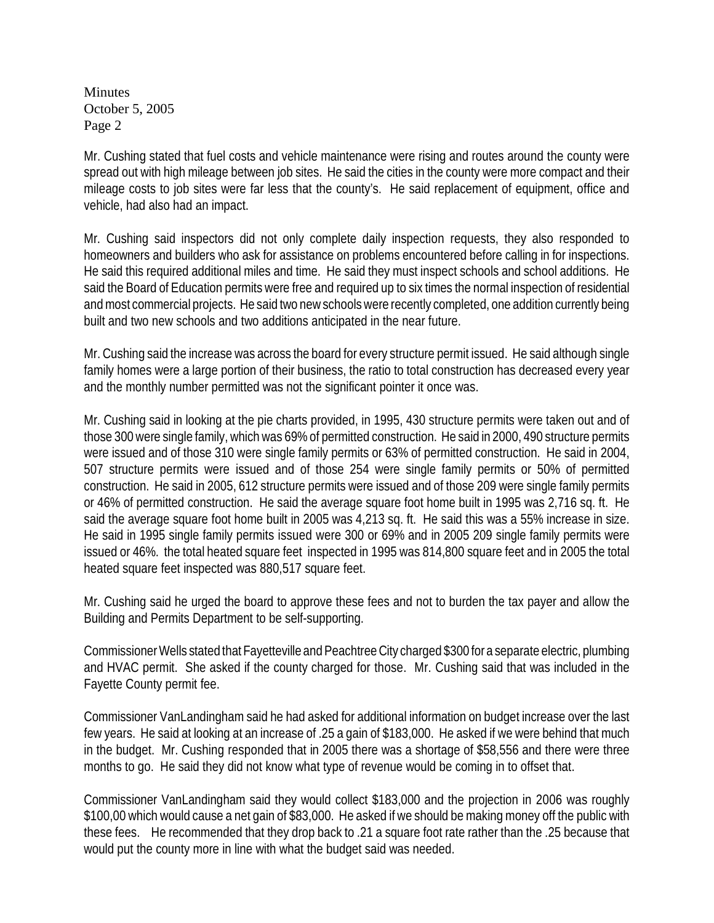Mr. Cushing stated that fuel costs and vehicle maintenance were rising and routes around the county were spread out with high mileage between job sites. He said the cities in the county were more compact and their mileage costs to job sites were far less that the county's. He said replacement of equipment, office and vehicle, had also had an impact.

Mr. Cushing said inspectors did not only complete daily inspection requests, they also responded to homeowners and builders who ask for assistance on problems encountered before calling in for inspections. He said this required additional miles and time. He said they must inspect schools and school additions. He said the Board of Education permits were free and required up to six times the normal inspection of residential and most commercial projects. He said two new schools were recently completed, one addition currently being built and two new schools and two additions anticipated in the near future.

Mr. Cushing said the increase was across the board for every structure permit issued. He said although single family homes were a large portion of their business, the ratio to total construction has decreased every year and the monthly number permitted was not the significant pointer it once was.

Mr. Cushing said in looking at the pie charts provided, in 1995, 430 structure permits were taken out and of those 300 were single family, which was 69% of permitted construction. He said in 2000, 490 structure permits were issued and of those 310 were single family permits or 63% of permitted construction. He said in 2004, 507 structure permits were issued and of those 254 were single family permits or 50% of permitted construction. He said in 2005, 612 structure permits were issued and of those 209 were single family permits or 46% of permitted construction. He said the average square foot home built in 1995 was 2,716 sq. ft. He said the average square foot home built in 2005 was 4,213 sq. ft. He said this was a 55% increase in size. He said in 1995 single family permits issued were 300 or 69% and in 2005 209 single family permits were issued or 46%. the total heated square feet inspected in 1995 was 814,800 square feet and in 2005 the total heated square feet inspected was 880,517 square feet.

Mr. Cushing said he urged the board to approve these fees and not to burden the tax payer and allow the Building and Permits Department to be self-supporting.

Commissioner Wells stated that Fayetteville and Peachtree City charged \$300 for a separate electric, plumbing and HVAC permit. She asked if the county charged for those. Mr. Cushing said that was included in the Fayette County permit fee.

Commissioner VanLandingham said he had asked for additional information on budget increase over the last few years. He said at looking at an increase of .25 a gain of \$183,000. He asked if we were behind that much in the budget. Mr. Cushing responded that in 2005 there was a shortage of \$58,556 and there were three months to go. He said they did not know what type of revenue would be coming in to offset that.

Commissioner VanLandingham said they would collect \$183,000 and the projection in 2006 was roughly \$100,00 which would cause a net gain of \$83,000. He asked if we should be making money off the public with these fees. He recommended that they drop back to .21 a square foot rate rather than the .25 because that would put the county more in line with what the budget said was needed.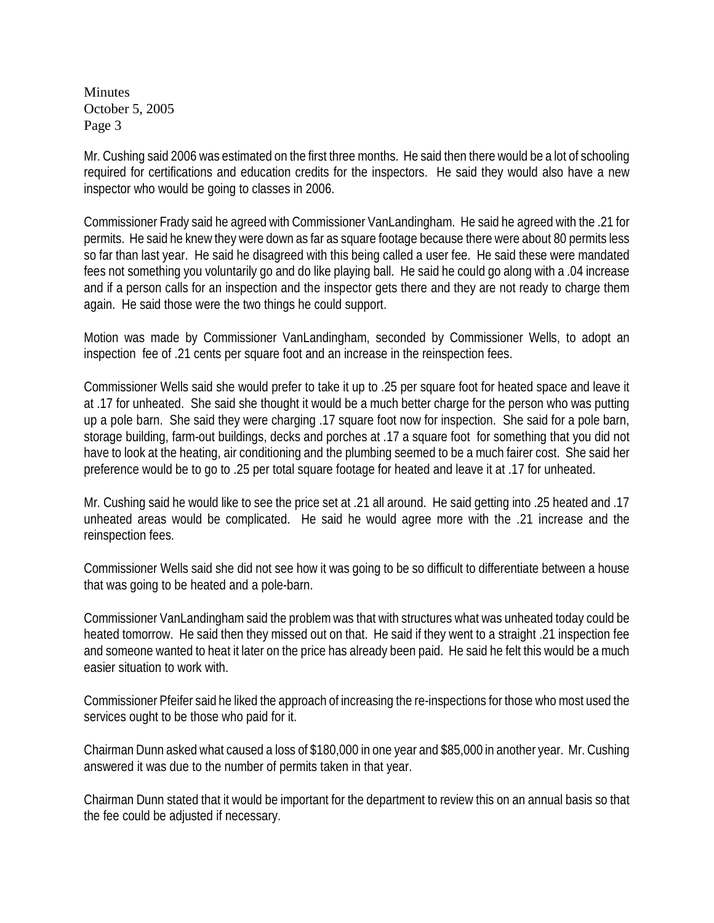Mr. Cushing said 2006 was estimated on the first three months. He said then there would be a lot of schooling required for certifications and education credits for the inspectors. He said they would also have a new inspector who would be going to classes in 2006.

Commissioner Frady said he agreed with Commissioner VanLandingham. He said he agreed with the .21 for permits. He said he knew they were down as far as square footage because there were about 80 permits less so far than last year. He said he disagreed with this being called a user fee. He said these were mandated fees not something you voluntarily go and do like playing ball. He said he could go along with a .04 increase and if a person calls for an inspection and the inspector gets there and they are not ready to charge them again. He said those were the two things he could support.

Motion was made by Commissioner VanLandingham, seconded by Commissioner Wells, to adopt an inspection fee of .21 cents per square foot and an increase in the reinspection fees.

Commissioner Wells said she would prefer to take it up to .25 per square foot for heated space and leave it at .17 for unheated. She said she thought it would be a much better charge for the person who was putting up a pole barn. She said they were charging .17 square foot now for inspection. She said for a pole barn, storage building, farm-out buildings, decks and porches at .17 a square foot for something that you did not have to look at the heating, air conditioning and the plumbing seemed to be a much fairer cost. She said her preference would be to go to .25 per total square footage for heated and leave it at .17 for unheated.

Mr. Cushing said he would like to see the price set at .21 all around. He said getting into .25 heated and .17 unheated areas would be complicated. He said he would agree more with the .21 increase and the reinspection fees.

Commissioner Wells said she did not see how it was going to be so difficult to differentiate between a house that was going to be heated and a pole-barn.

Commissioner VanLandingham said the problem was that with structures what was unheated today could be heated tomorrow. He said then they missed out on that. He said if they went to a straight .21 inspection fee and someone wanted to heat it later on the price has already been paid. He said he felt this would be a much easier situation to work with.

Commissioner Pfeifer said he liked the approach of increasing the re-inspections for those who most used the services ought to be those who paid for it.

Chairman Dunn asked what caused a loss of \$180,000 in one year and \$85,000 in another year. Mr. Cushing answered it was due to the number of permits taken in that year.

Chairman Dunn stated that it would be important for the department to review this on an annual basis so that the fee could be adjusted if necessary.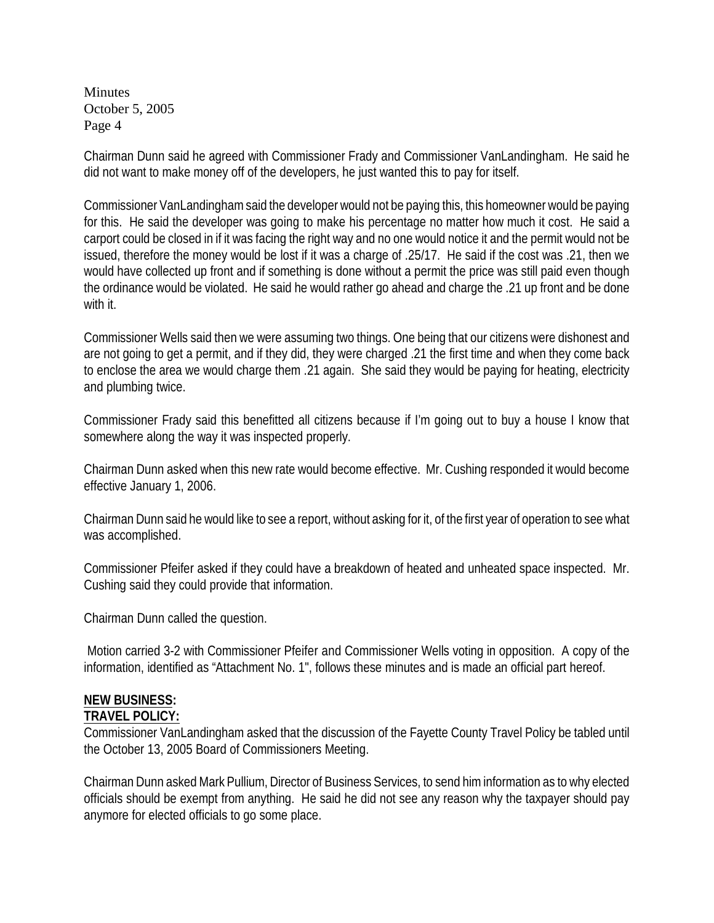Chairman Dunn said he agreed with Commissioner Frady and Commissioner VanLandingham. He said he did not want to make money off of the developers, he just wanted this to pay for itself.

Commissioner VanLandingham said the developer would not be paying this, this homeowner would be paying for this. He said the developer was going to make his percentage no matter how much it cost. He said a carport could be closed in if it was facing the right way and no one would notice it and the permit would not be issued, therefore the money would be lost if it was a charge of .25/17. He said if the cost was .21, then we would have collected up front and if something is done without a permit the price was still paid even though the ordinance would be violated. He said he would rather go ahead and charge the .21 up front and be done with it.

Commissioner Wells said then we were assuming two things. One being that our citizens were dishonest and are not going to get a permit, and if they did, they were charged .21 the first time and when they come back to enclose the area we would charge them .21 again. She said they would be paying for heating, electricity and plumbing twice.

Commissioner Frady said this benefitted all citizens because if I'm going out to buy a house I know that somewhere along the way it was inspected properly.

Chairman Dunn asked when this new rate would become effective. Mr. Cushing responded it would become effective January 1, 2006.

Chairman Dunn said he would like to see a report, without asking for it, of the first year of operation to see what was accomplished.

Commissioner Pfeifer asked if they could have a breakdown of heated and unheated space inspected. Mr. Cushing said they could provide that information.

Chairman Dunn called the question.

 Motion carried 3-2 with Commissioner Pfeifer and Commissioner Wells voting in opposition. A copy of the information, identified as "Attachment No. 1", follows these minutes and is made an official part hereof.

# **NEW BUSINESS:**

### **TRAVEL POLICY:**

Commissioner VanLandingham asked that the discussion of the Fayette County Travel Policy be tabled until the October 13, 2005 Board of Commissioners Meeting.

Chairman Dunn asked Mark Pullium, Director of Business Services, to send him information as to why elected officials should be exempt from anything. He said he did not see any reason why the taxpayer should pay anymore for elected officials to go some place.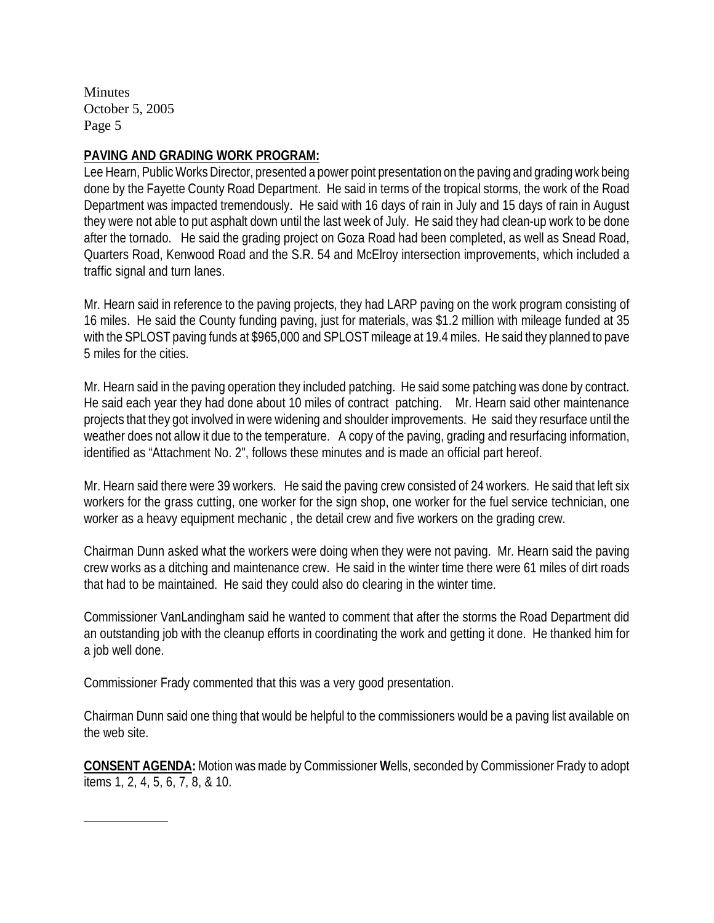### **PAVING AND GRADING WORK PROGRAM:**

Lee Hearn, Public Works Director, presented a power point presentation on the paving and grading work being done by the Fayette County Road Department. He said in terms of the tropical storms, the work of the Road Department was impacted tremendously. He said with 16 days of rain in July and 15 days of rain in August they were not able to put asphalt down until the last week of July. He said they had clean-up work to be done after the tornado. He said the grading project on Goza Road had been completed, as well as Snead Road, Quarters Road, Kenwood Road and the S.R. 54 and McElroy intersection improvements, which included a traffic signal and turn lanes.

Mr. Hearn said in reference to the paving projects, they had LARP paving on the work program consisting of 16 miles. He said the County funding paving, just for materials, was \$1.2 million with mileage funded at 35 with the SPLOST paving funds at \$965,000 and SPLOST mileage at 19.4 miles. He said they planned to pave 5 miles for the cities.

Mr. Hearn said in the paving operation they included patching. He said some patching was done by contract. He said each year they had done about 10 miles of contract patching. Mr. Hearn said other maintenance projects that they got involved in were widening and shoulder improvements. He said they resurface until the weather does not allow it due to the temperature. A copy of the paving, grading and resurfacing information, identified as "Attachment No. 2", follows these minutes and is made an official part hereof.

Mr. Hearn said there were 39 workers.He said the paving crew consisted of 24 workers. He said that left six workers for the grass cutting, one worker for the sign shop, one worker for the fuel service technician, one worker as a heavy equipment mechanic , the detail crew and five workers on the grading crew.

Chairman Dunn asked what the workers were doing when they were not paving.Mr. Hearn said the paving crew works as a ditching and maintenance crew. He said in the winter time there were 61 miles of dirt roads that had to be maintained. He said they could also do clearing in the winter time.

Commissioner VanLandingham said he wanted to comment that after the storms the Road Department did an outstanding job with the cleanup efforts in coordinating the work and getting it done. He thanked him for a job well done.

Commissioner Frady commented that this was a very good presentation.

Chairman Dunn said one thing that would be helpful to the commissioners would be a paving list available on the web site.

**CONSENT AGENDA:** Motion wasmade by Commissioner **W**ells, seconded by Commissioner Frady to adopt items 1, 2, 4, 5, 6, 7, 8, & 10.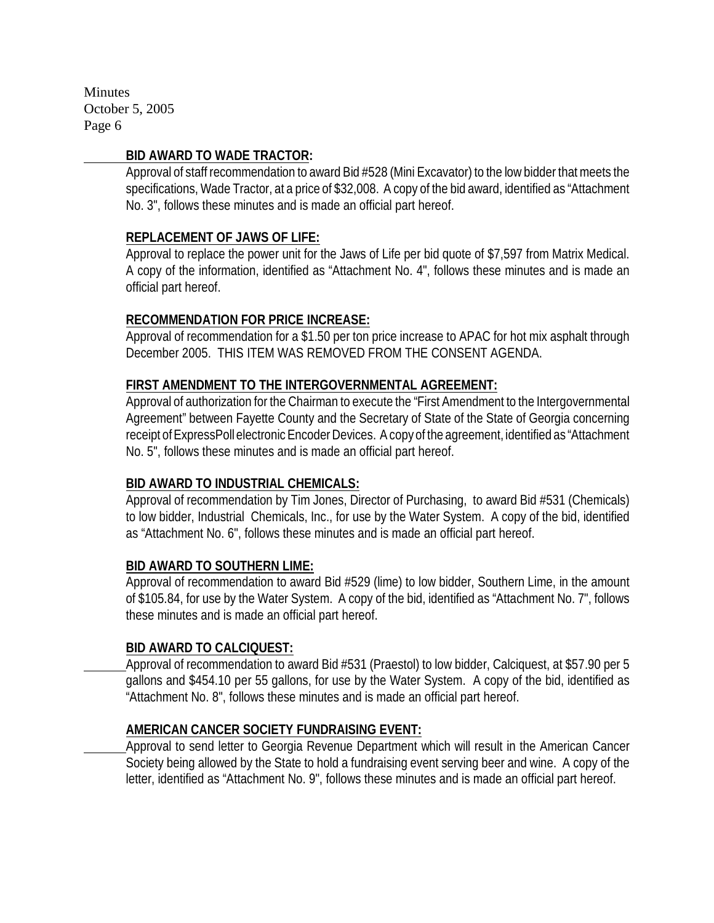#### **BID AWARD TO WADE TRACTOR:**

Approval of staff recommendation to award Bid #528 (Mini Excavator) to the low bidder that meets the specifications, Wade Tractor, at a price of \$32,008.A copy of the bid award, identified as "Attachment No. 3", follows these minutes and is made an official part hereof.

### **REPLACEMENT OF JAWS OF LIFE:**

Approval to replace the power unit for the Jaws of Life per bid quote of \$7,597 from Matrix Medical. A copy of the information, identified as "Attachment No. 4", follows these minutes and is made an official part hereof.

### **RECOMMENDATION FOR PRICE INCREASE:**

Approval of recommendation for a \$1.50 per ton price increase to APAC for hot mix asphalt through December 2005.THIS ITEM WAS REMOVED FROM THE CONSENT AGENDA.

### **FIRST AMENDMENT TO THE INTERGOVERNMENTAL AGREEMENT:**

Approval of authorization for the Chairman to execute the "First Amendment to the Intergovernmental Agreement" between Fayette County and the Secretary of State of the State of Georgia concerning receipt of ExpressPoll electronic Encoder Devices. A copy of the agreement, identified as "Attachment No. 5", follows these minutes and is made an official part hereof.

### **BID AWARD TO INDUSTRIAL CHEMICALS:**

Approval of recommendation by Tim Jones, Director of Purchasing, to award Bid #531 (Chemicals) to low bidder, Industrial Chemicals, Inc., for use by the Water System. A copy of the bid, identified as "Attachment No. 6", follows these minutes and is made an official part hereof.

### **BID AWARD TO SOUTHERN LIME:**

Approval of recommendation to award Bid #529 (lime) to low bidder, Southern Lime, in the amount of \$105.84, for use by the Water System.A copy of the bid, identified as "Attachment No. 7", follows these minutes and is made an official part hereof.

### **BID AWARD TO CALCIQUEST:**

Approval of recommendation to award Bid #531 (Praestol) to low bidder, Calciquest, at \$57.90 per 5 gallons and \$454.10 per 55 gallons, for use by the Water System. A copy of the bid, identified as "Attachment No. 8", follows these minutes and is made an official part hereof.

### **AMERICAN CANCER SOCIETY FUNDRAISING EVENT:**

Approval to send letter to Georgia Revenue Department which will result in the American Cancer Society being allowed by the State to hold a fundraising event serving beer and wine. A copy of the letter, identified as "Attachment No. 9", follows these minutes and is made an official part hereof.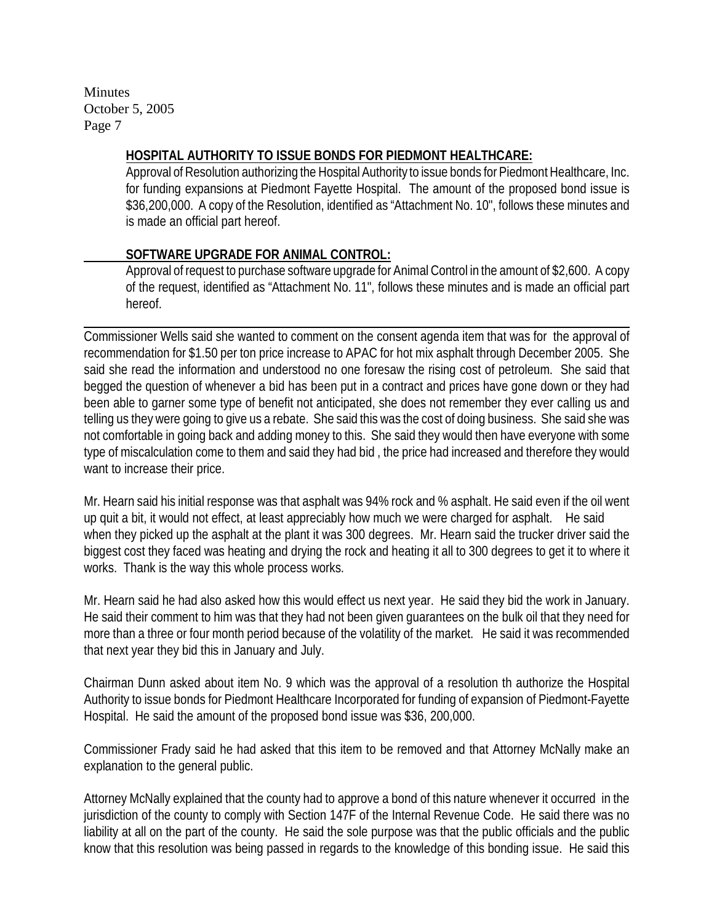**HOSPITAL AUTHORITY TO ISSUE BONDS FOR PIEDMONT HEALTHCARE:**

Approval of Resolution authorizing the Hospital Authority to issue bonds for Piedmont Healthcare, Inc. for funding expansions at Piedmont Fayette Hospital. The amount of the proposed bond issue is \$36,200,000. A copy of the Resolution, identified as "Attachment No. 10", follows these minutes and is made an official part hereof.

# **SOFTWARE UPGRADE FOR ANIMAL CONTROL:**

Approval of request to purchase software upgrade for Animal Control in the amount of \$2,600. A copy of the request, identified as "Attachment No. 11", follows these minutes and is made an official part hereof.

Commissioner Wells said she wanted to comment on the consent agenda item that was for the approval of recommendation for \$1.50 per ton price increase to APAC for hot mix asphalt through December 2005. She said she read the information and understood no one foresaw the rising cost of petroleum. She said that begged the question of whenever a bid has been put in a contract and prices have gone down or they had been able to garner some type of benefit not anticipated, she does not remember they ever calling us and telling us they were going to give us a rebate. She said this was the cost of doing business. She said she was not comfortable in going back and adding money to this. She said they would then have everyone with some type of miscalculation come to them and said they had bid , the price had increased and therefore they would want to increase their price.

Mr. Hearn said his initial response was that asphalt was 94% rock and % asphalt. He said even if the oil went up quit a bit, it would not effect, at least appreciably how much we were charged for asphalt. He said when they picked up the asphalt at the plant it was 300 degrees. Mr. Hearn said the trucker driver said the biggest cost they faced was heating and drying the rock and heating it all to 300 degrees to get it to where it works. Thank is the way this whole process works.

Mr. Hearn said he had also asked how this would effect us next year. He said they bid the work in January. He said their comment to him was that they had not been given guarantees on the bulk oil that they need for more than a three or four month period because of the volatility of the market. He said it was recommended that next year they bid this in January and July.

Chairman Dunn asked about item No. 9 which was the approval of a resolution th authorize the Hospital Authority to issue bonds for Piedmont Healthcare Incorporated for funding of expansion of Piedmont-Fayette Hospital. He said the amount of the proposed bond issue was \$36, 200,000.

Commissioner Frady said he had asked that this item to be removed and that Attorney McNally make an explanation to the general public.

Attorney McNally explained that the county had to approve a bond of this nature whenever it occurred in the jurisdiction of the county to comply with Section 147F of the Internal Revenue Code. He said there was no liability at all on the part of the county. He said the sole purpose was that the public officials and the public know that this resolution was being passed in regards to the knowledge of this bonding issue. He said this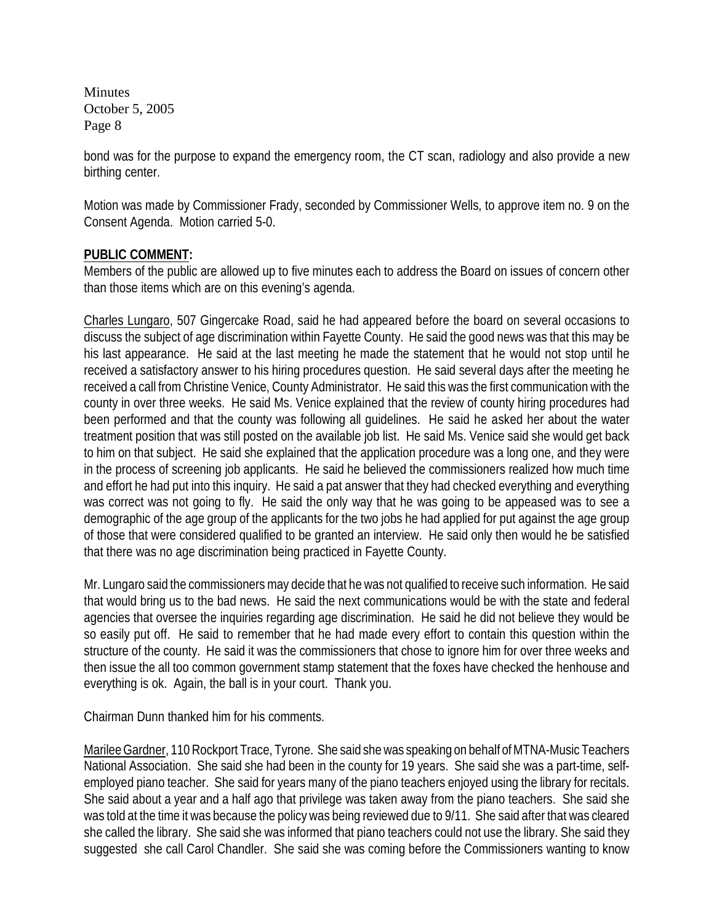bond was for the purpose to expand the emergency room, the CT scan, radiology and also provide a new birthing center.

Motion was made by Commissioner Frady, seconded by Commissioner Wells, to approve item no. 9 on the Consent Agenda. Motion carried 5-0.

### **PUBLIC COMMENT:**

Members of the public are allowed up to five minutes each to address the Board on issues of concern other than those items which are on this evening's agenda.

Charles Lungaro, 507 Gingercake Road, said he had appeared before the board on several occasions to discuss the subject of age discrimination within Fayette County. He said the good news was that this may be his last appearance. He said at the last meeting he made the statement that he would not stop until he received a satisfactory answer to his hiring procedures question. He said several days after the meeting he received a call from Christine Venice, County Administrator. He said this was the first communication with the county in over three weeks. He said Ms. Venice explained that the review of county hiring procedures had been performed and that the county was following all guidelines. He said he asked her about the water treatment position that was still posted on the available job list. He said Ms. Venice said she would get back to him on that subject. He said she explained that the application procedure was a long one, and they were in the process of screening job applicants. He said he believed the commissioners realized how much time and effort he had put into this inquiry. He said a pat answer that they had checked everything and everything was correct was not going to fly. He said the only way that he was going to be appeased was to see a demographic of the age group of the applicants for the two jobs he had applied for put against the age group of those that were considered qualified to be granted an interview. He said only then would he be satisfied that there was no age discrimination being practiced in Fayette County.

Mr. Lungaro said the commissioners may decide that he was not qualified to receive such information. He said that would bring us to the bad news. He said the next communications would be with the state and federal agencies that oversee the inquiries regarding age discrimination. He said he did not believe they would be so easily put off. He said to remember that he had made every effort to contain this question within the structure of the county. He said it was the commissioners that chose to ignore him for over three weeks and then issue the all too common government stamp statement that the foxes have checked the henhouse and everything is ok. Again, the ball is in your court. Thank you.

Chairman Dunn thanked him for his comments.

Marilee Gardner, 110 Rockport Trace, Tyrone. She said she was speaking on behalf of MTNA-Music Teachers National Association. She said she had been in the county for 19 years. She said she was a part-time, selfemployed piano teacher. She said for years many of the piano teachers enjoyed using the library for recitals. She said about a year and a half ago that privilege was taken away from the piano teachers. She said she was told at the time it was because the policy was being reviewed due to 9/11. She said after that was cleared she called the library. She said she was informed that piano teachers could not use the library. She said they suggested she call Carol Chandler. She said she was coming before the Commissioners wanting to know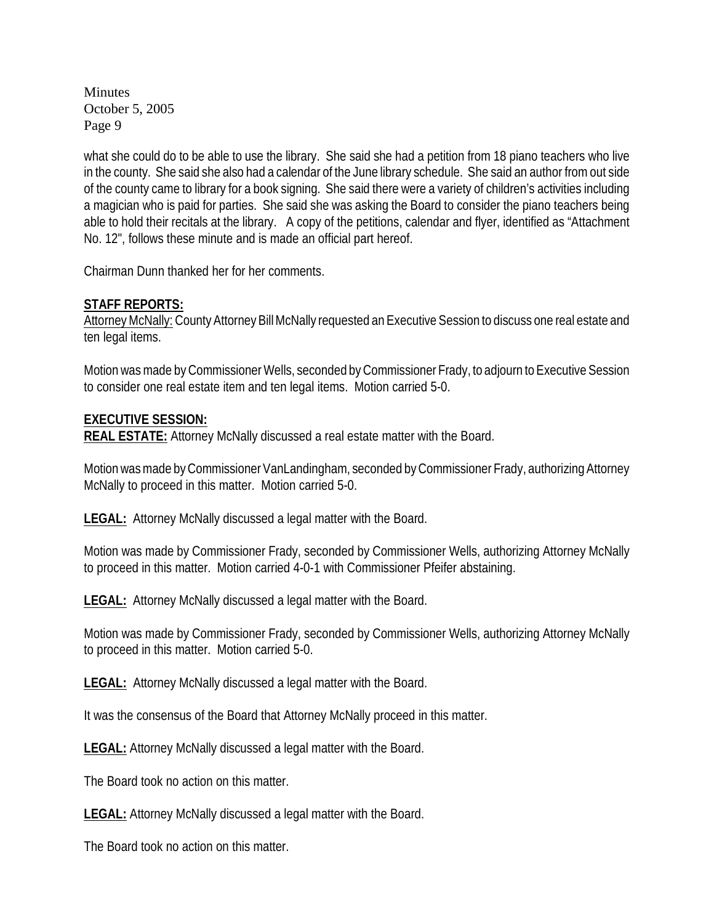what she could do to be able to use the library. She said she had a petition from 18 piano teachers who live in the county. She said she also had a calendar of the June library schedule. She said an author from out side of the county came to library for a book signing. She said there were a variety of children's activities including a magician who is paid for parties. She said she was asking the Board to consider the piano teachers being able to hold their recitals at the library. A copy of the petitions, calendar and flyer, identified as "Attachment No. 12", follows these minute and is made an official part hereof.

Chairman Dunn thanked her for her comments.

**STAFF REPORTS:**

Attorney McNally: County Attorney Bill McNally requested an Executive Session to discuss one real estate and ten legal items.

Motion was made by Commissioner Wells, seconded by Commissioner Frady, to adjourn to Executive Session to consider one real estate item and ten legal items. Motion carried 5-0.

**EXECUTIVE SESSION:**

**REAL ESTATE:** Attorney McNally discussed a real estate matter with the Board.

Motion was made by Commissioner VanLandingham, seconded by Commissioner Frady, authorizing Attorney McNally to proceed in this matter. Motion carried 5-0.

**LEGAL:** Attorney McNally discussed a legal matter with the Board.

Motion was made by Commissioner Frady, seconded by Commissioner Wells, authorizing Attorney McNally to proceed in this matter. Motion carried 4-0-1 with Commissioner Pfeifer abstaining.

**LEGAL:** Attorney McNally discussed a legal matter with the Board.

Motion was made by Commissioner Frady, seconded by Commissioner Wells, authorizing Attorney McNally to proceed in this matter. Motion carried 5-0.

**LEGAL:** Attorney McNally discussed a legal matter with the Board.

It was the consensus of the Board that Attorney McNally proceed in this matter.

**LEGAL:** Attorney McNally discussed a legal matter with the Board.

The Board took no action on this matter.

**LEGAL:** Attorney McNally discussed a legal matter with the Board.

The Board took no action on this matter.